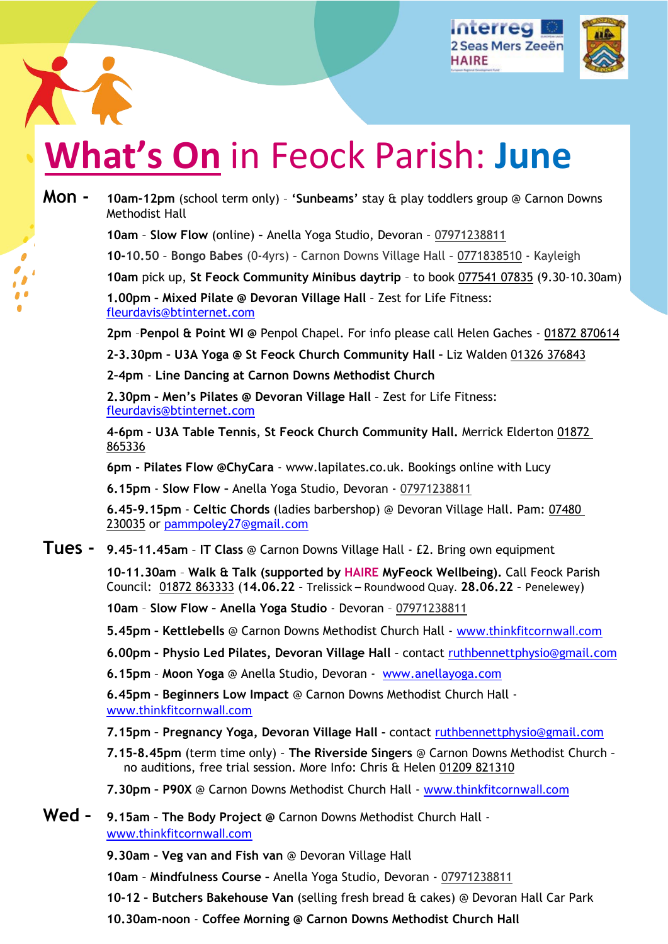





# **What's On** in Feock Parish: **June**

| Mon - | 10am-12pm (school term only) - 'Sunbeams' stay & play toddlers group @ Carnon Downs<br>Methodist Hall                                                                      |
|-------|----------------------------------------------------------------------------------------------------------------------------------------------------------------------------|
|       | 10am - Slow Flow (online) - Anella Yoga Studio, Devoran - 07971238811                                                                                                      |
|       | 10-10.50 - Bongo Babes (0-4yrs) - Carnon Downs Village Hall - 0771838510 - Kayleigh                                                                                        |
|       | 10am pick up, St Feock Community Minibus daytrip - to book 077541 07835 (9.30-10.30am)                                                                                     |
|       | 1.00pm - Mixed Pilate @ Devoran Village Hall - Zest for Life Fitness:<br>fleurdavis@btinternet.com                                                                         |
|       | 2pm - Penpol & Point WI @ Penpol Chapel. For info please call Helen Gaches - 01872 870614                                                                                  |
|       | 2-3.30pm - U3A Yoga @ St Feock Church Community Hall - Liz Walden 01326 376843                                                                                             |
|       | 2-4pm - Line Dancing at Carnon Downs Methodist Church                                                                                                                      |
|       | 2.30pm - Men's Pilates @ Devoran Village Hall - Zest for Life Fitness:<br>fleurdavis@btinternet.com                                                                        |
|       | 4-6pm - U3A Table Tennis, St Feock Church Community Hall. Merrick Elderton 01872<br>865336                                                                                 |
|       | 6pm - Pilates Flow @ChyCara - www.lapilates.co.uk. Bookings online with Lucy                                                                                               |
|       | 6.15pm - Slow Flow - Anella Yoga Studio, Devoran - 07971238811                                                                                                             |
|       | 6.45-9.15pm - Celtic Chords (ladies barbershop) @ Devoran Village Hall. Pam: 07480<br>230035 or pammpoley27@gmail.com                                                      |
|       | <b>Tues -</b> 9.45-11.45am - IT Class @ Carnon Downs Village Hall - £2. Bring own equipment                                                                                |
|       | 10-11.30am - Walk & Talk (supported by HAIRE MyFeock Wellbeing). Call Feock Parish<br>Council: 01872 863333 (14.06.22 - Trelissick – Roundwood Quay. 28.06.22 - Penelewey) |
|       | 10am - Slow Flow - Anella Yoga Studio - Devoran - 07971238811                                                                                                              |
|       | 5.45pm - Kettlebells @ Carnon Downs Methodist Church Hall - www.thinkfitcornwall.com                                                                                       |
|       | 6.00pm - Physio Led Pilates, Devoran Village Hall - contact ruthbennettphysio@gmail.com                                                                                    |
|       | 6.15pm - Moon Yoga @ Anella Studio, Devoran - www.anellayoga.com                                                                                                           |
|       | 6.45pm - Beginners Low Impact @ Carnon Downs Methodist Church Hall -<br>www.thinkfitcornwall.com                                                                           |
|       | 7.15pm - Pregnancy Yoga, Devoran Village Hall - contact ruthbennettphysio@gmail.com                                                                                        |
|       | 7.15-8.45pm (term time only) - The Riverside Singers @ Carnon Downs Methodist Church -<br>no auditions, free trial session. More Info: Chris & Helen 01209 821310          |
|       | 7.30pm - P90X @ Carnon Downs Methodist Church Hall - www.thinkfitcornwall.com                                                                                              |
| Wed - | 9.15am - The Body Project @ Carnon Downs Methodist Church Hall -<br>www.thinkfitcornwall.com                                                                               |
|       | <b>Q. 30am - Vog van and Eish van @ Dovoran Village Hall</b>                                                                                                               |

**9.30am – Veg van and Fish van** @ Devoran Village Hall

**10am** – **Mindfulness Course –** Anella Yoga Studio, Devoran - 07971238811

**10-12 – Butchers Bakehouse Van** (selling fresh bread & cakes) @ Devoran Hall Car Park

**10.30am-noon** - **Coffee Morning @ Carnon Downs Methodist Church Hall**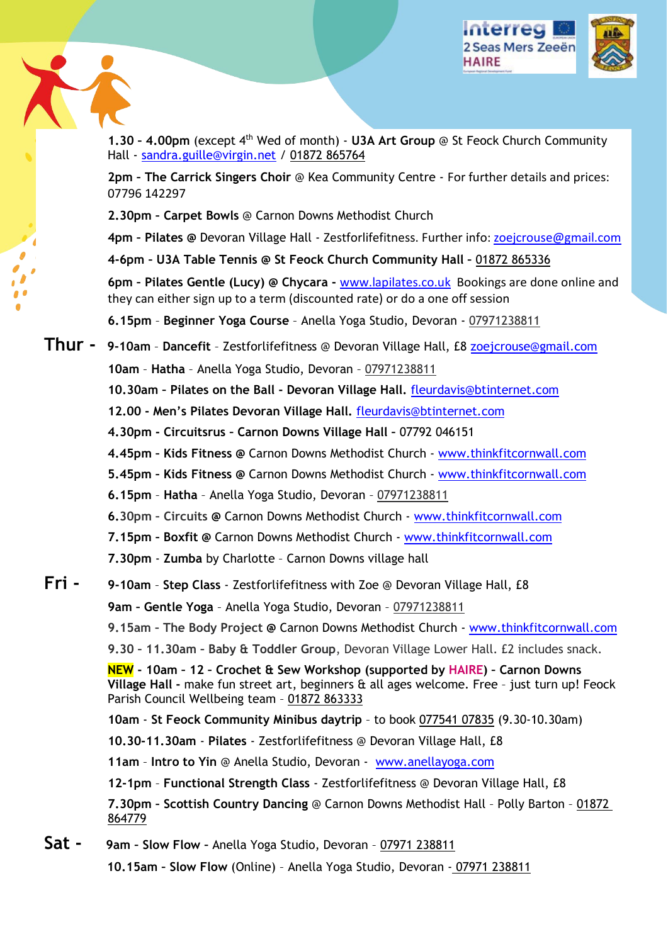



**1.30 – 4.00pm** (except 4th Wed of month) - **U3A Art Group** @ St Feock Church Community Hall - [sandra.guille@virgin.net](mailto:sandra.guille@virgin.net) / 01872 865764

**2pm – The Carrick Singers Choir** @ Kea Community Centre - For further details and prices: 07796 142297

**2.30pm – Carpet Bowls** @ Carnon Downs Methodist Church

**4pm – Pilates @** Devoran Village Hall - Zestforlifefitness. Further info: [zoejcrouse@gmail.com](mailto:zoejcrouse@gmail.com) 

**4-6pm – U3A Table Tennis @ St Feock Church Community Hall –** 01872 865336

**6pm – Pilates Gentle (Lucy) @ Chycara -** [www.lapilates.co.uk](http://www.lapilates.co.uk/) Bookings are done online and they can either sign up to a term (discounted rate) or do a one off session

**6.15pm** – **Beginner Yoga Course** – Anella Yoga Studio, Devoran - 07971238811

### **Thur - 9-10am** – **Dancefit** – Zestforlifefitness @ Devoran Village Hall, £8 [zoejcrouse@gmail.com](mailto:zoejcrouse@gmail.com)  **10am** – **Hatha** – Anella Yoga Studio, Devoran – 07971238811

**10.30am – Pilates on the Ball - Devoran Village Hall.** [fleurdavis@btinternet.com](mailto:fleurdavis@btinternet.com) 

**12.00 - Men's Pilates Devoran Village Hall.** [fleurdavis@btinternet.com](mailto:fleurdavis@btinternet.com)

- **4.30pm Circuitsrus Carnon Downs Village Hall** 07792 046151
- **4.45pm Kids Fitness @** Carnon Downs Methodist Church - [www.thinkfitcornwall.com](http://www.thinkfitcornwall.com/)
- **5.45pm Kids Fitness @** Carnon Downs Methodist Church - [www.thinkfitcornwall.com](http://www.thinkfitcornwall.com/)
- **6.15pm Hatha** Anella Yoga Studio, Devoran 07971238811
- **6.30pm Circuits @** Carnon Downs Methodist Church - [www.thinkfitcornwall.com](http://www.thinkfitcornwall.com/)
- **7.15pm Boxfit @** Carnon Downs Methodist Church - [www.thinkfitcornwall.com](http://www.thinkfitcornwall.com/)
- **7.30pm Zumba** by Charlotte Carnon Downs village hall

#### **Fri - 9-10am** – **Step Class** - Zestforlifefitness with Zoe @ Devoran Village Hall, £8

**9am – Gentle Yoga** – Anella Yoga Studio, Devoran – 07971238811

**9.15am – The Body Project @** Carnon Downs Methodist Church - [www.thinkfitcornwall.com](http://www.thinkfitcornwall.com/)

**9.30 – 11.30am – Baby & Toddler Group**, Devoran Village Lower Hall. £2 includes snack.

**NEW - 10am – 12 – Crochet & Sew Workshop (supported by HAIRE) – Carnon Downs Village Hall -** make fun street art, beginners & all ages welcome. Free – just turn up! Feock Parish Council Wellbeing team - 01872 863333

**10am** - **St Feock Community Minibus daytrip** – to book 077541 07835 (9.30-10.30am)

**10.30-11.30am** - **Pilates** - Zestforlifefitness @ Devoran Village Hall, £8

**11am** – **Intro to Yin** @ Anella Studio, Devoran - [www.anellayoga.com](http://www.anellayoga.com/) 

**12-1pm** – **Functional Strength Class** - Zestforlifefitness @ Devoran Village Hall, £8

**7.30pm – Scottish Country Dancing** @ Carnon Downs Methodist Hall – Polly Barton – 01872 864779

**Sat - 9am – Slow Flow –** Anella Yoga Studio, Devoran – 07971 238811

**10.15am – Slow Flow** (Online) – Anella Yoga Studio, Devoran - 07971 238811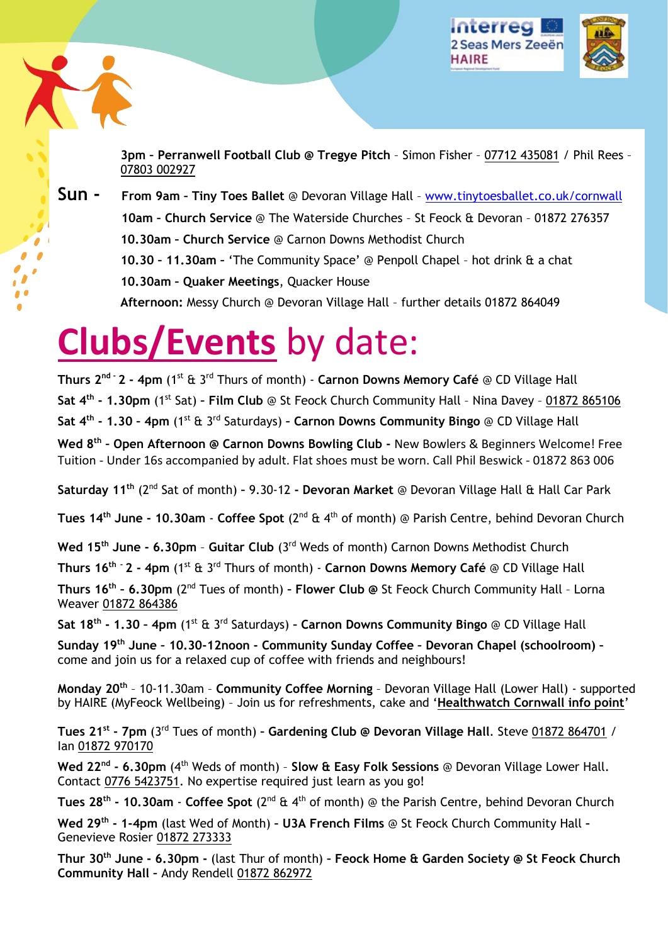



**3pm – Perranwell Football Club @ Tregye Pitch** – Simon Fisher – 07712 435081 / Phil Rees – 07803 002927

**Sun - From 9am – Tiny Toes Ballet** @ Devoran Village Hall – [www.tinytoesballet.co.uk/cornwall](http://www.tinytoesballet.co.uk/cornwall) **10am – Church Service** @ The Waterside Churches – St Feock & Devoran – 01872 276357 **10.30am – Church Service** @ Carnon Downs Methodist Church **10.30 – 11.30am –** 'The Community Space' @ Penpoll Chapel – hot drink & a chat **10.30am – Quaker Meetings**, Quacker House **Afternoon:** Messy Church @ Devoran Village Hall – further details 01872 864049

## **Clubs/Events** by date:

**Thurs 2nd - 2 - 4pm** (1st & 3rd Thurs of month) - **Carnon Downs Memory Café** @ CD Village Hall **Sat 4th - 1.30pm** (1st Sat) **– Film Club** @ St Feock Church Community Hall – Nina Davey – 01872 865106 **Sat 4<sup>th</sup> - 1.30 - 4pm** (1<sup>st</sup> & 3<sup>rd</sup> Saturdays) - Carnon Downs Community Bingo @ CD Village Hall **Wed 8th – Open Afternoon @ Carnon Downs Bowling Club -** New Bowlers & Beginners Welcome! Free Tuition - Under 16s accompanied by adult. Flat shoes must be worn. Call Phil Beswick - 01872 863 006

**Saturday 11th** (2nd Sat of month) **–** 9.30-12 **- Devoran Market** @ Devoran Village Hall & Hall Car Park

**Tues 14th June - 10.30am** - **Coffee Spot** (2nd & 4th of month) @ Parish Centre, behind Devoran Church

Wed 15<sup>th</sup> June - 6.30pm - Guitar Club (3<sup>rd</sup> Weds of month) Carnon Downs Methodist Church

**Thurs 16th - 2 - 4pm** (1st & 3rd Thurs of month) - **Carnon Downs Memory Café** @ CD Village Hall

**Thurs 16th – 6.30pm** (2nd Tues of month) **– Flower Club @** St Feock Church Community Hall – Lorna Weaver 01872 864386

**Sat 18th - 1.30 – 4pm** (1st & 3rd Saturdays) **– Carnon Downs Community Bingo** @ CD Village Hall

**Sunday 19th June – 10.30-12noon - Community Sunday Coffee – Devoran Chapel (schoolroom) –**  come and join us for a relaxed cup of coffee with friends and neighbours!

**Monday 20th** – 10-11.30am – **Community Coffee Morning** – Devoran Village Hall (Lower Hall) - supported by HAIRE (MyFeock Wellbeing) – Join us for refreshments, cake and '**Healthwatch Cornwall info point**'

**Tues 21st - 7pm** (3rd Tues of month) **– Gardening Club @ Devoran Village Hall**. Steve 01872 864701 / Ian 01872 970170

**Wed 22nd - 6.30pm** (4th Weds of month) – **Slow & Easy Folk Sessions** @ Devoran Village Lower Hall. Contact 0776 5423751. No expertise required just learn as you go!

**Tues 28th - 10.30am** - **Coffee Spot** (2nd & 4th of month) @ the Parish Centre, behind Devoran Church

**Wed 29th - 1-4pm** (last Wed of Month) **– U3A French Films** @ St Feock Church Community Hall **–**  Genevieve Rosier 01872 273333

**Thur 30th June - 6.30pm -** (last Thur of month) **– Feock Home & Garden Society @ St Feock Church Community Hall –** Andy Rendell 01872 862972